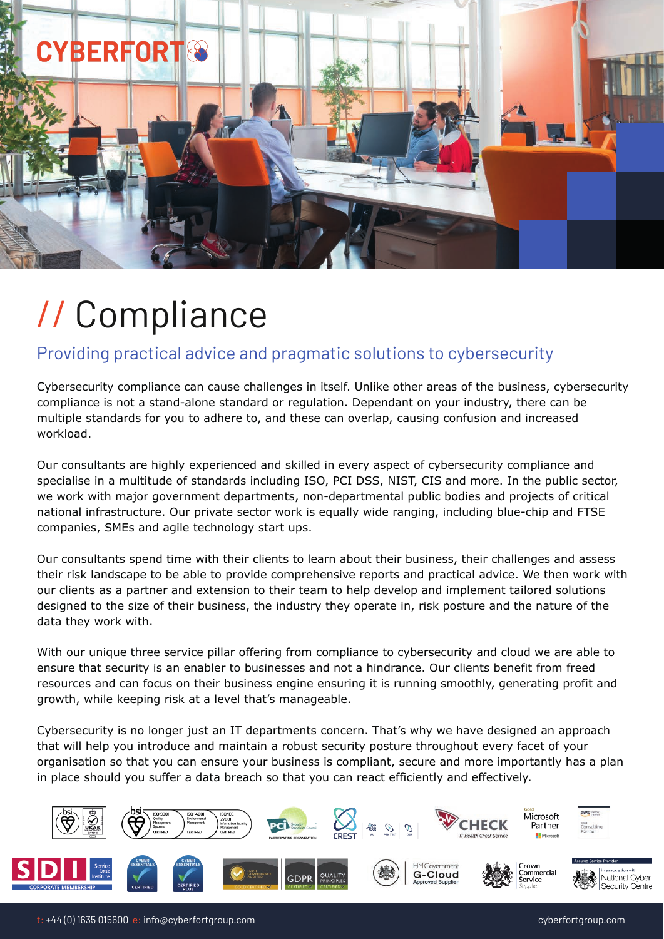

# // Compliance

# Providing practical advice and pragmatic solutions to cybersecurity

Cybersecurity compliance can cause challenges in itself. Unlike other areas of the business, cybersecurity compliance is not a stand-alone standard or regulation. Dependant on your industry, there can be multiple standards for you to adhere to, and these can overlap, causing confusion and increased workload.

Our consultants are highly experienced and skilled in every aspect of cybersecurity compliance and specialise in a multitude of standards including ISO, PCI DSS, NIST, CIS and more. In the public sector, we work with major government departments, non-departmental public bodies and projects of critical national infrastructure. Our private sector work is equally wide ranging, including blue-chip and FTSE companies, SMEs and agile technology start ups.

Our consultants spend time with their clients to learn about their business, their challenges and assess their risk landscape to be able to provide comprehensive reports and practical advice. We then work with our clients as a partner and extension to their team to help develop and implement tailored solutions designed to the size of their business, the industry they operate in, risk posture and the nature of the data they work with.

With our unique three service pillar offering from compliance to cybersecurity and cloud we are able to ensure that security is an enabler to businesses and not a hindrance. Our clients benefit from freed resources and can focus on their business engine ensuring it is running smoothly, generating profit and growth, while keeping risk at a level that's manageable.

Cybersecurity is no longer just an IT departments concern. That's why we have designed an approach that will help you introduce and maintain a robust security posture throughout every facet of your organisation so that you can ensure your business is compliant, secure and more importantly has a plan in place should you suffer a data breach so that you can react efficiently and effectively.